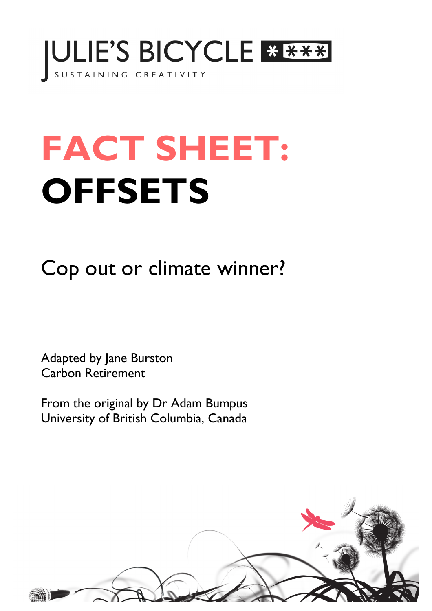

# **FACT SHEET: OFFSETS**

Cop out or climate winner?

Adapted by Jane Burston Carbon Retirement

From the original by Dr Adam Bumpus University of British Columbia, Canada

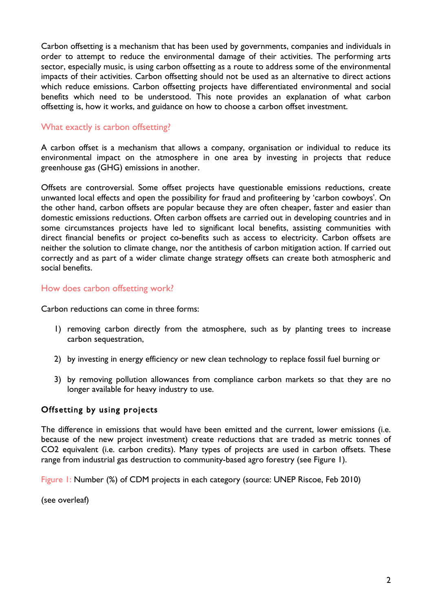Carbon offsetting is a mechanism that has been used by governments, companies and individuals in order to attempt to reduce the environmental damage of their activities. The performing arts sector, especially music, is using carbon offsetting as a route to address some of the environmental impacts of their activities. Carbon offsetting should not be used as an alternative to direct actions which reduce emissions. Carbon offsetting projects have differentiated environmental and social benefits which need to be understood. This note provides an explanation of what carbon offsetting is, how it works, and guidance on how to choose a carbon offset investment.

# What exactly is carbon offsetting?

A carbon offset is a mechanism that allows a company, organisation or individual to reduce its environmental impact on the atmosphere in one area by investing in projects that reduce greenhouse gas (GHG) emissions in another.

Offsets are controversial. Some offset projects have questionable emissions reductions, create unwanted local effects and open the possibility for fraud and profiteering by 'carbon cowboys'. On the other hand, carbon offsets are popular because they are often cheaper, faster and easier than domestic emissions reductions. Often carbon offsets are carried out in developing countries and in some circumstances projects have led to significant local benefits, assisting communities with direct financial benefits or project co-benefits such as access to electricity. Carbon offsets are neither the solution to climate change, nor the antithesis of carbon mitigation action. If carried out correctly and as part of a wider climate change strategy offsets can create both atmospheric and social benefits.

## How does carbon offsetting work?

Carbon reductions can come in three forms:

- 1) removing carbon directly from the atmosphere, such as by planting trees to increase carbon sequestration,
- 2) by investing in energy efficiency or new clean technology to replace fossil fuel burning or
- 3) by removing pollution allowances from compliance carbon markets so that they are no longer available for heavy industry to use.

## Offsetting by using projects

The difference in emissions that would have been emitted and the current, lower emissions (i.e. because of the new project investment) create reductions that are traded as metric tonnes of CO2 equivalent (i.e. carbon credits). Many types of projects are used in carbon offsets. These range from industrial gas destruction to community-based agro forestry (see Figure 1).

Figure 1: Number (%) of CDM projects in each category (source: UNEP Riscoe, Feb 2010)

(see overleaf)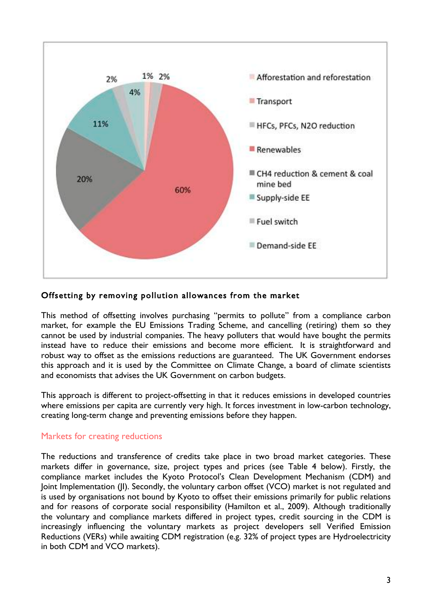

## Offsetting by removing pollution allowances from the market

This method of offsetting involves purchasing "permits to pollute" from a compliance carbon market, for example the EU Emissions Trading Scheme, and cancelling (retiring) them so they cannot be used by industrial companies. The heavy polluters that would have bought the permits instead have to reduce their emissions and become more efficient. It is straightforward and robust way to offset as the emissions reductions are guaranteed. The UK Government endorses this approach and it is used by the Committee on Climate Change, a board of climate scientists and economists that advises the UK Government on carbon budgets.

This approach is different to project-offsetting in that it reduces emissions in developed countries where emissions per capita are currently very high. It forces investment in low-carbon technology, creating long-term change and preventing emissions before they happen.

#### Markets for creating reductions

The reductions and transference of credits take place in two broad market categories. These markets differ in governance, size, project types and prices (see Table 4 below). Firstly, the compliance market includes the Kyoto Protocol's Clean Development Mechanism (CDM) and Joint Implementation (JI). Secondly, the voluntary carbon offset (VCO) market is not regulated and is used by organisations not bound by Kyoto to offset their emissions primarily for public relations and for reasons of corporate social responsibility (Hamilton et al., 2009). Although traditionally the voluntary and compliance markets differed in project types, credit sourcing in the CDM is increasingly influencing the voluntary markets as project developers sell Verified Emission Reductions (VERs) while awaiting CDM registration (e.g. 32% of project types are Hydroelectricity in both CDM and VCO markets).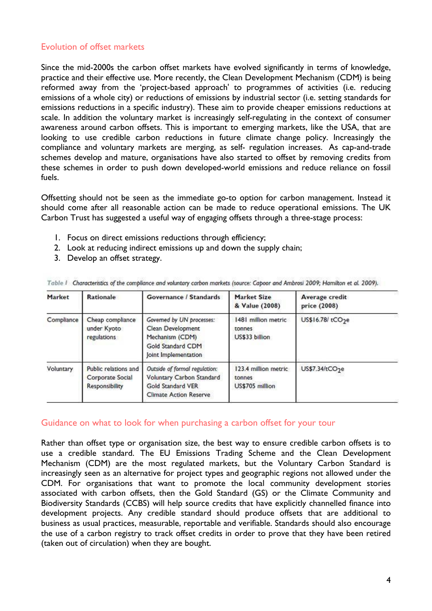## Evolution of offset markets

Since the mid-2000s the carbon offset markets have evolved significantly in terms of knowledge, practice and their effective use. More recently, the Clean Development Mechanism (CDM) is being reformed away from the 'project-based approach' to programmes of activities (i.e. reducing emissions of a whole city) or reductions of emissions by industrial sector (i.e. setting standards for emissions reductions in a specific industry). These aim to provide cheaper emissions reductions at scale. In addition the voluntary market is increasingly self-regulating in the context of consumer awareness around carbon offsets. This is important to emerging markets, like the USA, that are looking to use credible carbon reductions in future climate change policy. Increasingly the compliance and voluntary markets are merging, as self- regulation increases. As cap-and-trade schemes develop and mature, organisations have also started to offset by removing credits from these schemes in order to push down developed-world emissions and reduce reliance on fossil fuels.

Offsetting should not be seen as the immediate go-to option for carbon management. Instead it should come after all reasonable action can be made to reduce operational emissions. The UK Carbon Trust has suggested a useful way of engaging offsets through a three-stage process:

- 1. Focus on direct emissions reductions through efficiency;
- 2. Look at reducing indirect emissions up and down the supply chain;
- 3. Develop an offset strategy.

| Market     | Rationale                                                  | Governance / Standards                                                                                           | Market Size<br>& Value (2008)                     | Average credit<br>price (2008) |
|------------|------------------------------------------------------------|------------------------------------------------------------------------------------------------------------------|---------------------------------------------------|--------------------------------|
| Compliance | Cheap compliance<br>under Kyoto<br>regulations             | Governed by UN processes:<br>Clean Development<br>Mechanism (CDM)<br>Gold Standard CDM<br>Joint Implementation   | 1481 million metric<br>tonnes<br>US\$33 billion   | US\$16.78/tCO <sub>2</sub> e   |
| Voluntary  | Public relations and<br>Corporate Social<br>Responsibility | Outside of formal regulation:<br>Voluntary Carbon Standard<br>Gold Standard VER<br><b>Climate Action Reserve</b> | 123.4 million metric<br>tonnes<br>US\$705 million | US\$7.34/tCO <sub>2</sub> e    |

Table 1 Characteristics of the compliance and voluntary carbon markets (source: Caboor and Ambrosi 2009; Hamilton et al. 2009).

#### Guidance on what to look for when purchasing a carbon offset for your tour

Rather than offset type or organisation size, the best way to ensure credible carbon offsets is to use a credible standard. The EU Emissions Trading Scheme and the Clean Development Mechanism (CDM) are the most regulated markets, but the Voluntary Carbon Standard is increasingly seen as an alternative for project types and geographic regions not allowed under the CDM. For organisations that want to promote the local community development stories associated with carbon offsets, then the Gold Standard (GS) or the Climate Community and Biodiversity Standards (CCBS) will help source credits that have explicitly channelled finance into development projects. Any credible standard should produce offsets that are additional to business as usual practices, measurable, reportable and verifiable. Standards should also encourage the use of a carbon registry to track offset credits in order to prove that they have been retired (taken out of circulation) when they are bought.